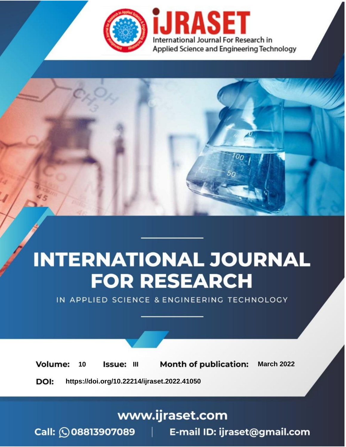

# **INTERNATIONAL JOURNAL FOR RESEARCH**

IN APPLIED SCIENCE & ENGINEERING TECHNOLOGY

10 **Issue: III Month of publication:** March 2022 **Volume:** 

**https://doi.org/10.22214/ijraset.2022.41050**DOI:

www.ijraset.com

Call: 008813907089 | E-mail ID: ijraset@gmail.com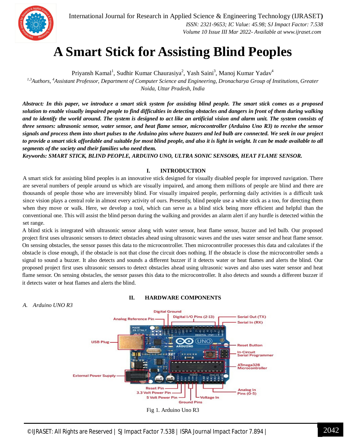

International Journal for Research in Applied Science & Engineering Technology (IJRASET**)**  *ISSN: 2321-9653; IC Value: 45.98; SJ Impact Factor: 7.538 Volume 10 Issue III Mar 2022- Available at www.ijraset.com*

### **A Smart Stick for Assisting Blind Peoples**

Priyansh Kamal<sup>1</sup>, Sudhir Kumar Chaurasiya<sup>2</sup>, Yash Saini<sup>3</sup>, Manoj Kumar Yadav<sup>4</sup>

*1,3Authors, <sup>4</sup>Assistant Professor, Department of Computer Science and Engineering, Dronacharya Group of Institutions, Greater Noida, Uttar Pradesh, India*

*Abstract: In this paper, we introduce a smart stick system for assisting blind people. The smart stick comes as a proposed solution to enable visually impaired people to find difficulties in detecting obstacles and dangers in front of them during walking and to identify the world around. The system is designed to act like an artificial vision and alarm unit. The system consists of three sensors: ultrasonic sensor, water sensor, and heat flame sensor, microcontroller (Arduino Uno R3) to receive the sensor signals and process them into short pulses to the Arduino pins where buzzers and led bulb are connected. We seek in our project to provide a smart stick affordable and suitable for most blind people, and also it is light in weight. It can be made available to all segments of the society and their families who need them.* 

*Keywords: SMART STICK, BLIND PEOPLE, ARDUINO UNO, ULTRA SONIC SENSORS, HEAT FLAME SENSOR.*

#### **I. INTRODUCTION**

A smart stick for assisting blind peoples is an innovative stick designed for visually disabled people for improved navigation. There are several numbers of people around us which are visually impaired, and among them millions of people are blind and there are thousands of people those who are irreversibly blind. For visually impaired people, performing daily activities is a difficult task since vision plays a central role in almost every activity of ours. Presently, blind people use a white stick as a too, for directing them when they move or walk. Here, we develop a tool, which can serve as a blind stick being more efficient and helpful than the conventional one. This will assist the blind person during the walking and provides an alarm alert if any hurdle is detected within the set range.

A blind stick is integrated with ultrasonic sensor along with water sensor, heat flame sensor, buzzer and led bulb. Our proposed project first uses ultrasonic sensors to detect obstacles ahead using ultrasonic waves and the uses water sensor and heat flame sensor. On sensing obstacles, the sensor passes this data to the microcontroller. Then microcontroller processes this data and calculates if the obstacle is close enough, if the obstacle is not that close the circuit does nothing. If the obstacle is close the microcontroller sends a signal to sound a buzzer. It also detects and sounds a different buzzer if it detects water or heat flames and alerts the blind. Our proposed project first uses ultrasonic sensors to detect obstacles ahead using ultrasonic waves and also uses water sensor and heat flame sensor. On sensing obstacles, the sensor passes this data to the microcontroller. It also detects and sounds a different buzzer if it detects water or heat flames and alerts the blind.



#### **II. HARDWARE COMPONENTS**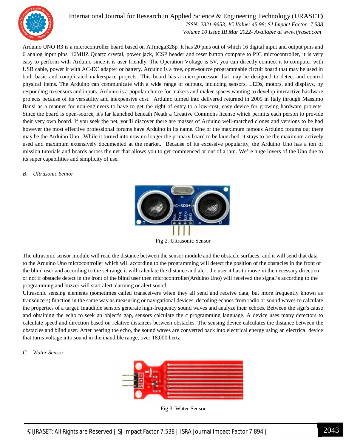

#### International Journal for Research in Applied Science & Engineering Technology (IJRASET**)**  *ISSN: 2321-9653; IC Value: 45.98; SJ Impact Factor: 7.538*

 *Volume 10 Issue III Mar 2022- Available at www.ijraset.com*

Arduino UNO R3 is a microcontroller board based on ATmega328p. It has 20 pins out of which 16 digital input and output pins and 6 analog input pins, 16MHZ Quartz crystal, power jack, ICSP header and reset button compare to PIC microcontroller, it is very easy to perform with Arduino since it is user friendly, The Operation Voltage is 5V, you can directly connect it to computer with USB cable, power it with AC-DC adapter or battery. Arduino is a free, open-source programmable circuit board that may be used in both basic and complicated makerspace projects. This board has a microprocessor that may be designed to detect and control physical items. The Arduino can communicate with a wide range of outputs, including sensors, LEDs, motors, and displays, by responding to sensors and inputs. Arduino is a popular choice for makers and maker spaces wanting to develop interactive hardware projects because of its versatility and inexpensive cost. Arduino turned into delivered returned in 2005 in Italy through Massimo Bansi as a manner for non-engineers to have to get the right of entry to a low-cost, easy device for growing hardware projects. Since the board is open-source, it's far launched beneath Neath a Creative Commons license which permits each person to provide their very own board. If you seek the net, you'll discover there are masses of Arduino well-matched clones and versions to be had however the most effective professional forums have Arduino in its name. One of the maximum famous Arduino forums out there may be the Arduino Uno. While it turned into now no longer the primary board to be launched, it stays to be the maximum actively used and maximum extensively documented at the market. Because of its excessive popularity, the Arduino Uno has a ton of mission tutorials and boards across the net that allows you to get commenced or out of a jam. We're huge lovers of the Uno due to its super capabilities and simplicity of use.

#### *B. Ultrasonic Senior*



Fig 2. Ultrasonic Sensor

The ultrasonic sensor module will read the distance between the sensor module and the obstacle surfaces, and it will send that data to the Arduino Uno microcontroller which will according to the programming will detect the position of the obstacles in the front of the blind user and according to the set range it will calculate the distance and alert the user it has to move in the necessary direction or not if obstacle detect in the front of the blind user then microcontroller(Arduino Uno) will received the signal's according to the programming and buzzer will start alert alarming or alert sound.

Ultrasonic sensing elements (sometimes called transceivers when they all send and receive data, but more frequently known as transducers) function in the same way as measuring or navigational devices, decoding echoes from radio or sound waves to calculate the properties of a target. Inaudible sensors generate high-frequency sound waves and analyze their echoes. Between the sign's cause and obtaining the echo to seek an object's gap, sensors calculate the c programming language. A device uses many detectors to calculate speed and direction based on relative distances between obstacles. The sensing device calculates the distance between the obstacles and blind user. After hearing the echo, the sound waves are converted back into electrical energy using an electrical device that turns voltage into sound in the inaudible range, over 18,000 hertz.

#### *C. Water Sensor*



Fig 3. Water Sensor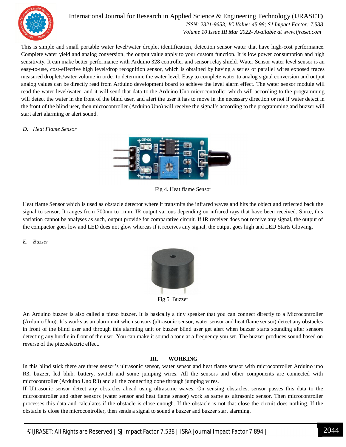

International Journal for Research in Applied Science & Engineering Technology (IJRASET**)**  *ISSN: 2321-9653; IC Value: 45.98; SJ Impact Factor: 7.538*

 *Volume 10 Issue III Mar 2022- Available at www.ijraset.com*

This is simple and small portable water level/water droplet identification, detection sensor water that have high-cost performance. Complete water yield and analog conversion, the output value apply to your custom function. It is low power consumption and high sensitivity. It can make better performance with Arduino 328 controller and sensor relay shield. Water Sensor water level sensor is an easy-to-use, cost-effective high level/drop recognition sensor, which is obtained by having a series of parallel wires exposed traces measured droplets/water volume in order to determine the water level. Easy to complete water to analog signal conversion and output analog values can be directly read from Arduino development board to achieve the level alarm effect. The water sensor module will read the water level/water, and it will send that data to the Arduino Uno microcontroller which will according to the programming will detect the water in the front of the blind user, and alert the user it has to move in the necessary direction or not if water detect in the front of the blind user, then microcontroller (Arduino Uno) will receive the signal's according to the programming and buzzer will start alert alarming or alert sound.

#### *D. Heat Flame Sensor*



Fig 4. Heat flame Sensor

Heat flame Sensor which is used as obstacle detector where it transmits the infrared waves and hits the object and reflected back the signal to sensor. It ranges from 700nm to 1mm. IR output various depending on infrared rays that have been received. Since, this variation cannot be analyses as such, output provide for comparative circuit. If IR receiver does not receive any signal, the output of the compactor goes low and LED does not glow whereas if it receives any signal, the output goes high and LED Starts Glowing.

#### *E. Buzzer*



Fig 5. Buzzer

An Arduino buzzer is also called a piezo buzzer. It is basically a tiny speaker that you can connect directly to a Microcontroller (Arduino Uno). It's works as an alarm unit when sensors (ultrasonic sensor, water sensor and heat flame sensor) detect any obstacles in front of the blind user and through this alarming unit or buzzer blind user get alert when buzzer starts sounding after sensors detecting any hurdle in front of the user. You can make it sound a tone at a frequency you set. The buzzer produces sound based on reverse of the piezoelectric effect.

#### **III. WORKING**

In this blind stick there are three sensor's ultrasonic sensor, water sensor and heat flame sensor with microcontroller Arduino uno R3, buzzer, led blub, battery, switch and some jumping wires. All the sensors and other components are connected with microcontroller (Arduino Uno R3) and all the connecting done through jumping wires.

If Ultrasonic sensor detect any obstacles ahead using ultrasonic waves. On sensing obstacles, sensor passes this data to the microcontroller and other sensors (water sensor and heat flame sensor) work as same as ultrasonic sensor. Then microcontroller processes this data and calculates if the obstacle is close enough. If the obstacle is not that close the circuit does nothing. If the obstacle is close the microcontroller, then sends a signal to sound a buzzer and buzzer start alarming.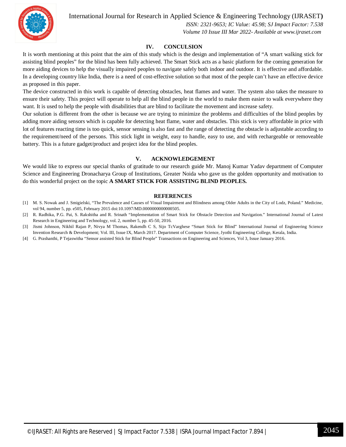

International Journal for Research in Applied Science & Engineering Technology (IJRASET**)**

 *ISSN: 2321-9653; IC Value: 45.98; SJ Impact Factor: 7.538 Volume 10 Issue III Mar 2022- Available at www.ijraset.com*

#### **IV. CONCULSION**

It is worth mentioning at this point that the aim of this study which is the design and implementation of "A smart walking stick for assisting blind peoples" for the blind has been fully achieved. The Smart Stick acts as a basic platform for the coming generation for more aiding devices to help the visually impaired peoples to navigate safely both indoor and outdoor. It is effective and affordable. In a developing country like India, there is a need of cost-effective solution so that most of the people can't have an effective device as proposed in this paper.

The device constructed in this work is capable of detecting obstacles, heat flames and water. The system also takes the measure to ensure their safety. This project will operate to help all the blind people in the world to make them easier to walk everywhere they want. It is used to help the people with disabilities that are blind to facilitate the movement and increase safety.

Our solution is different from the other is because we are trying to minimize the problems and difficulties of the blind peoples by adding more aiding sensors which is capable for detecting heat flame, water and obstacles. This stick is very affordable in price with lot of features reacting time is too quick, sensor sensing is also fast and the range of detecting the obstacle is adjustable according to the requirement/need of the persons. This stick light in weight, easy to handle, easy to use, and with rechargeable or removeable battery. This is a future gadget/product and project idea for the blind peoples.

#### **V. ACKNOWLEDGEMENT**

We would like to express our special thanks of gratitude to our research guide Mr. Manoj Kumar Yadav department of Computer Science and Engineering Dronacharya Group of Institutions, Greater Noida who gave us the golden opportunity and motivation to do this wonderful project on the topic **A SMART STICK FOR ASSISTING BLIND PEOPLES.**

#### **REFERENCES**

- [1] M. S. Nowak and J. Smigielski, "The Prevalence and Causes of Visual Impairment and Blindness among Older Adults in the City of Lodz, Poland." Medicine, vol 94, number 5, pp. e505, February 2015 doi:10.1097/MD.0000000000000505.
- [2] R. Radhika, P.G. Pai, S. Rakshitha and R. Srinath "Implementation of Smart Stick for Obstacle Detection and Navigation." International Journal of Latest Research in Engineering and Technology, vol. 2, number 5, pp. 45-50, 2016.
- [3] Jismi Johnson, Nikhil Rajan P, Nivya M Thomas, Rakendh C S, Sijo TcVarghese "Smart Stick for Blind" International Journal of Engineering Science Invention Research & Development; Vol. III, Issue IX, March 2017. Department of Computer Science, Jyothi Engineering College, Kerala, India.
- [4] G. Prashanthi, P Tejaswitha "Sensor assisted Stick for Blind People" Transactions on Engineering and Sciences, Vol 3, Issue January 2016.